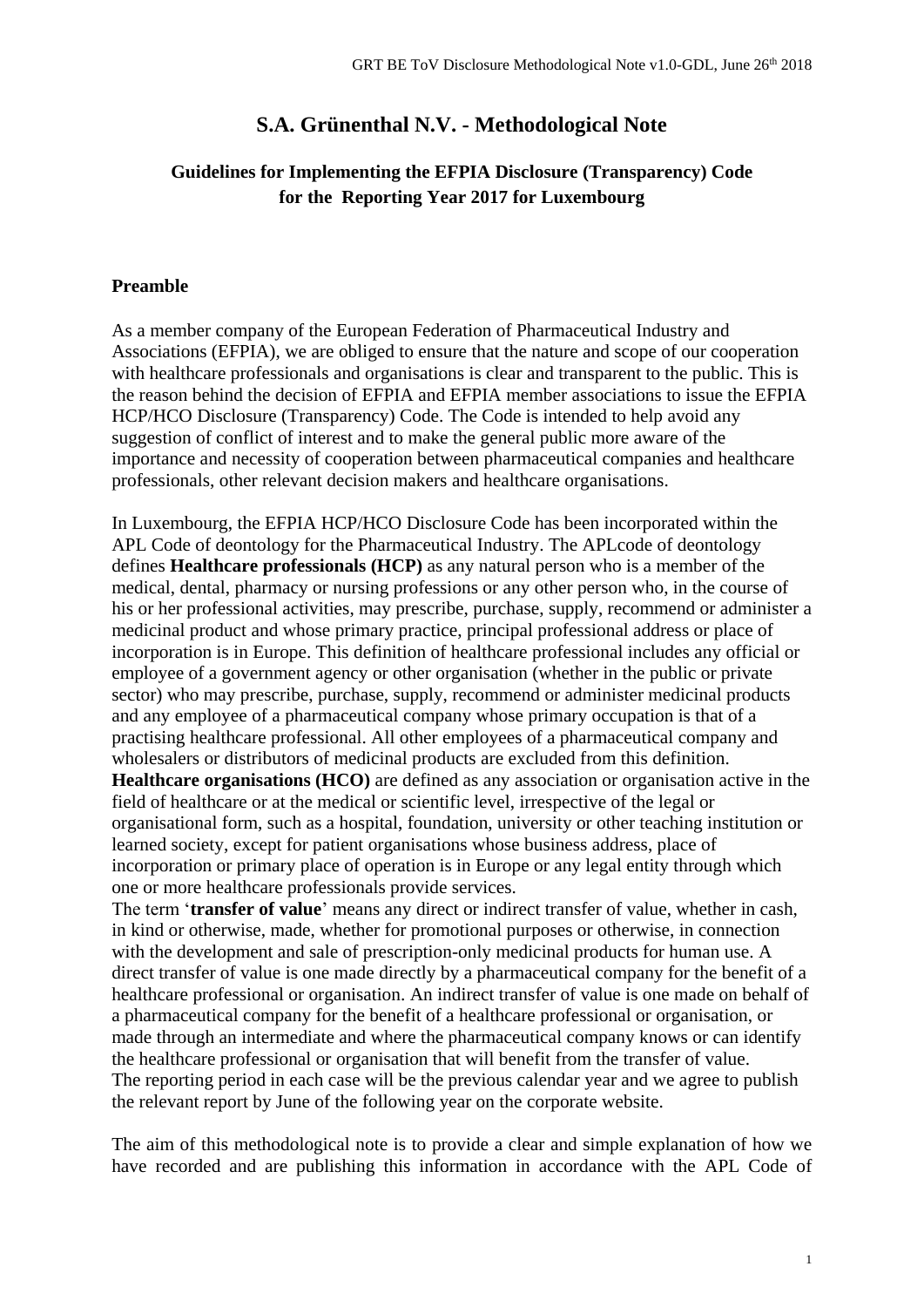# **S.A. Grünenthal N.V. - Methodological Note**

## **Guidelines for Implementing the EFPIA Disclosure (Transparency) Code for the Reporting Year 2017 for Luxembourg**

## **Preamble**

As a member company of the European Federation of Pharmaceutical Industry and Associations (EFPIA), we are obliged to ensure that the nature and scope of our cooperation with healthcare professionals and organisations is clear and transparent to the public. This is the reason behind the decision of EFPIA and EFPIA member associations to issue the EFPIA HCP/HCO Disclosure (Transparency) Code. The Code is intended to help avoid any suggestion of conflict of interest and to make the general public more aware of the importance and necessity of cooperation between pharmaceutical companies and healthcare professionals, other relevant decision makers and healthcare organisations.

In Luxembourg, the EFPIA HCP/HCO Disclosure Code has been incorporated within the APL Code of deontology for the Pharmaceutical Industry. The APLcode of deontology defines **Healthcare professionals (HCP)** as any natural person who is a member of the medical, dental, pharmacy or nursing professions or any other person who, in the course of his or her professional activities, may prescribe, purchase, supply, recommend or administer a medicinal product and whose primary practice, principal professional address or place of incorporation is in Europe. This definition of healthcare professional includes any official or employee of a government agency or other organisation (whether in the public or private sector) who may prescribe, purchase, supply, recommend or administer medicinal products and any employee of a pharmaceutical company whose primary occupation is that of a practising healthcare professional. All other employees of a pharmaceutical company and wholesalers or distributors of medicinal products are excluded from this definition. **Healthcare organisations (HCO)** are defined as any association or organisation active in the field of healthcare or at the medical or scientific level, irrespective of the legal or organisational form, such as a hospital, foundation, university or other teaching institution or learned society, except for patient organisations whose business address, place of incorporation or primary place of operation is in Europe or any legal entity through which one or more healthcare professionals provide services.

The term '**transfer of value**' means any direct or indirect transfer of value, whether in cash, in kind or otherwise, made, whether for promotional purposes or otherwise, in connection with the development and sale of prescription-only medicinal products for human use. A direct transfer of value is one made directly by a pharmaceutical company for the benefit of a healthcare professional or organisation. An indirect transfer of value is one made on behalf of a pharmaceutical company for the benefit of a healthcare professional or organisation, or made through an intermediate and where the pharmaceutical company knows or can identify the healthcare professional or organisation that will benefit from the transfer of value. The reporting period in each case will be the previous calendar year and we agree to publish the relevant report by June of the following year on the corporate website.

The aim of this methodological note is to provide a clear and simple explanation of how we have recorded and are publishing this information in accordance with the APL Code of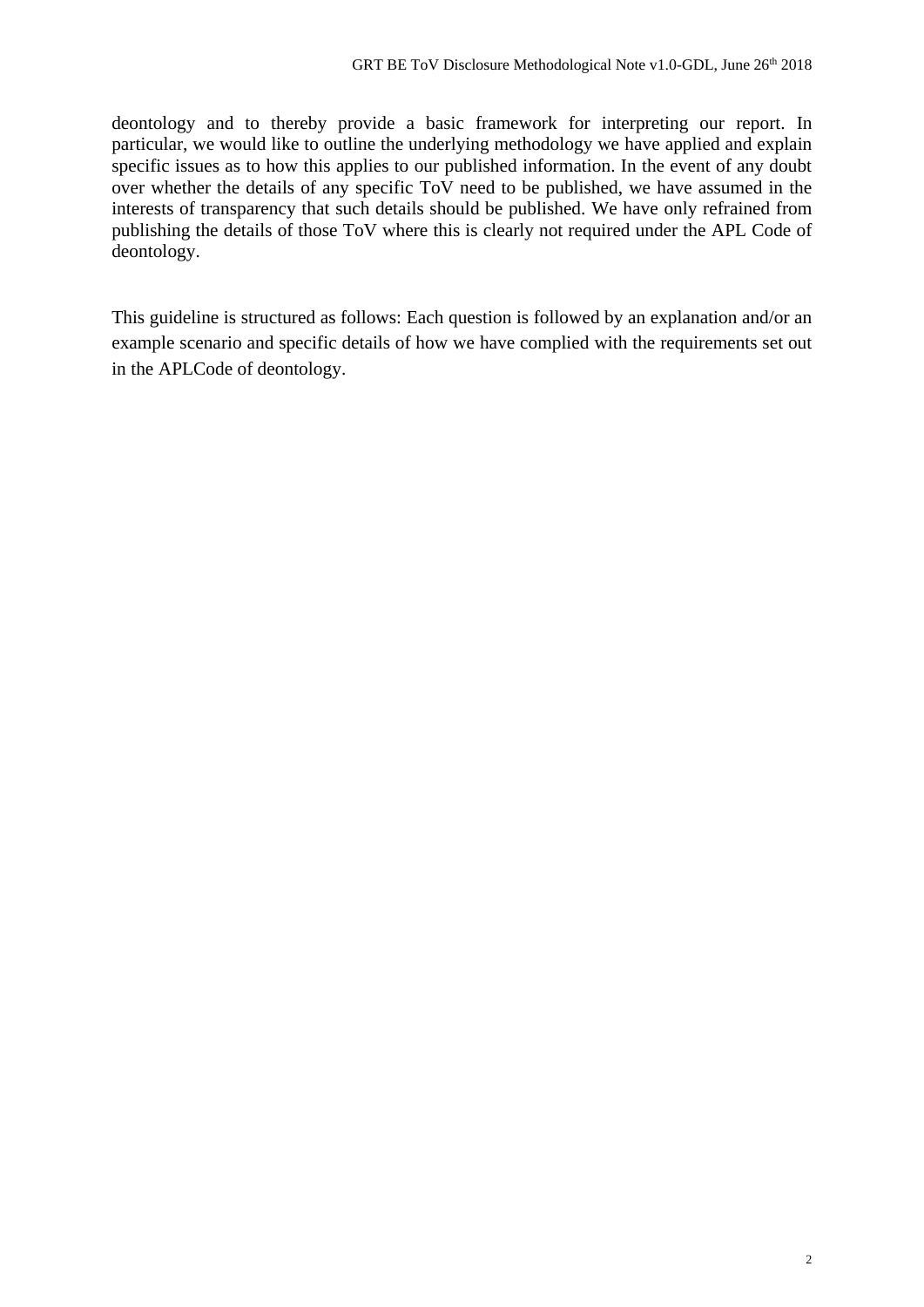deontology and to thereby provide a basic framework for interpreting our report. In particular, we would like to outline the underlying methodology we have applied and explain specific issues as to how this applies to our published information. In the event of any doubt over whether the details of any specific ToV need to be published, we have assumed in the interests of transparency that such details should be published. We have only refrained from publishing the details of those ToV where this is clearly not required under the APL Code of deontology.

This guideline is structured as follows: Each question is followed by an explanation and/or an example scenario and specific details of how we have complied with the requirements set out in the APLCode of deontology.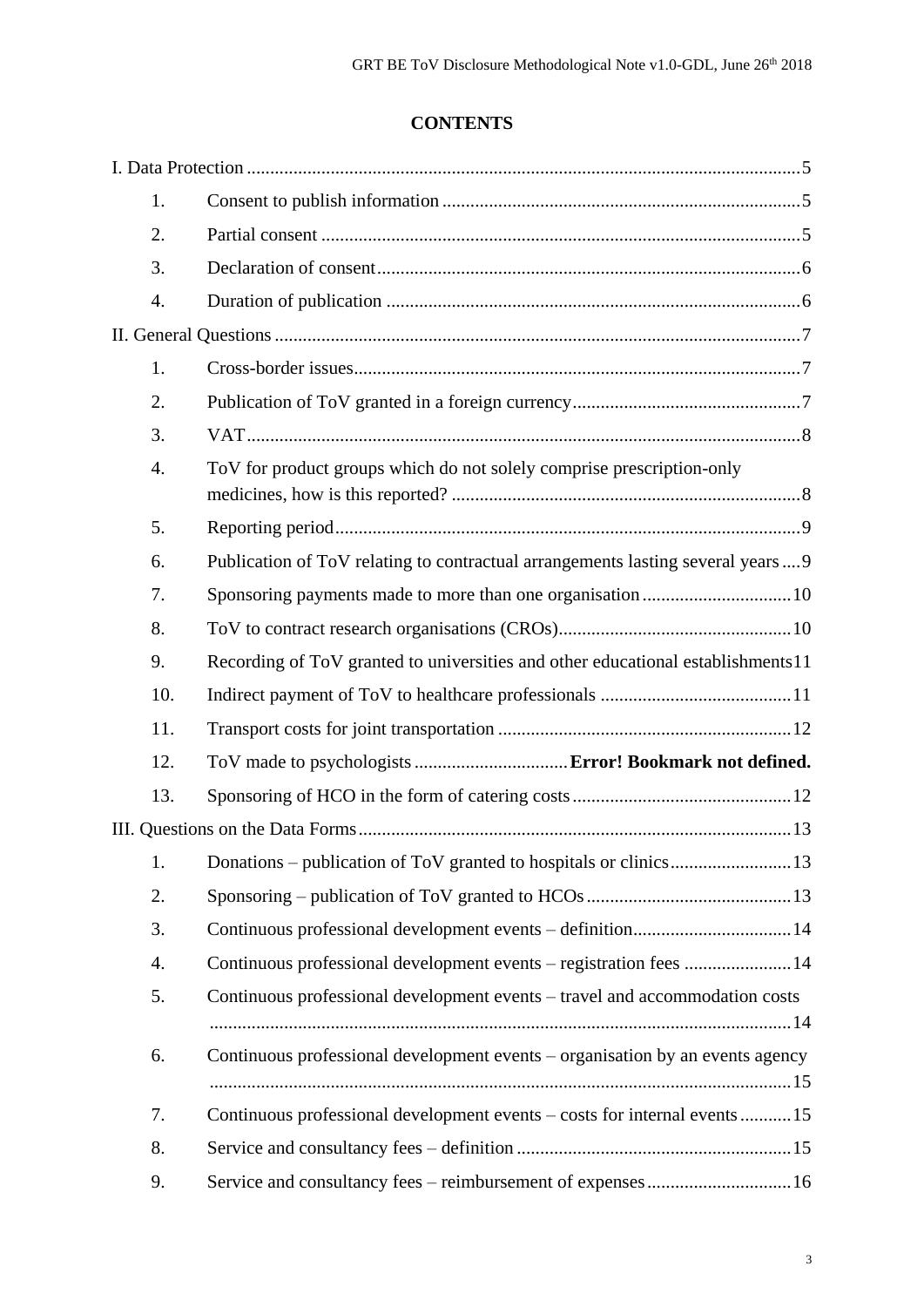# **CONTENTS**

| 1.               |                                                                                  |
|------------------|----------------------------------------------------------------------------------|
| 2.               |                                                                                  |
| 3.               |                                                                                  |
| 4.               |                                                                                  |
|                  |                                                                                  |
| 1.               |                                                                                  |
| 2.               |                                                                                  |
| 3.               |                                                                                  |
| $\overline{4}$ . | ToV for product groups which do not solely comprise prescription-only            |
| 5.               |                                                                                  |
| 6.               | Publication of ToV relating to contractual arrangements lasting several years  9 |
| 7.               | Sponsoring payments made to more than one organisation10                         |
| 8.               |                                                                                  |
| 9.               | Recording of ToV granted to universities and other educational establishments11  |
| 10.              |                                                                                  |
| 11.              |                                                                                  |
| 12.              |                                                                                  |
| 13.              |                                                                                  |
|                  |                                                                                  |
| 1.               |                                                                                  |
| 2.               |                                                                                  |
| 3.               |                                                                                  |
| 4.               | Continuous professional development events - registration fees 14                |
| 5.               | Continuous professional development events – travel and accommodation costs      |
| 6.               | Continuous professional development events – organisation by an events agency    |
| 7.               | Continuous professional development events – costs for internal events 15        |
| 8.               |                                                                                  |
| 9.               | Service and consultancy fees - reimbursement of expenses16                       |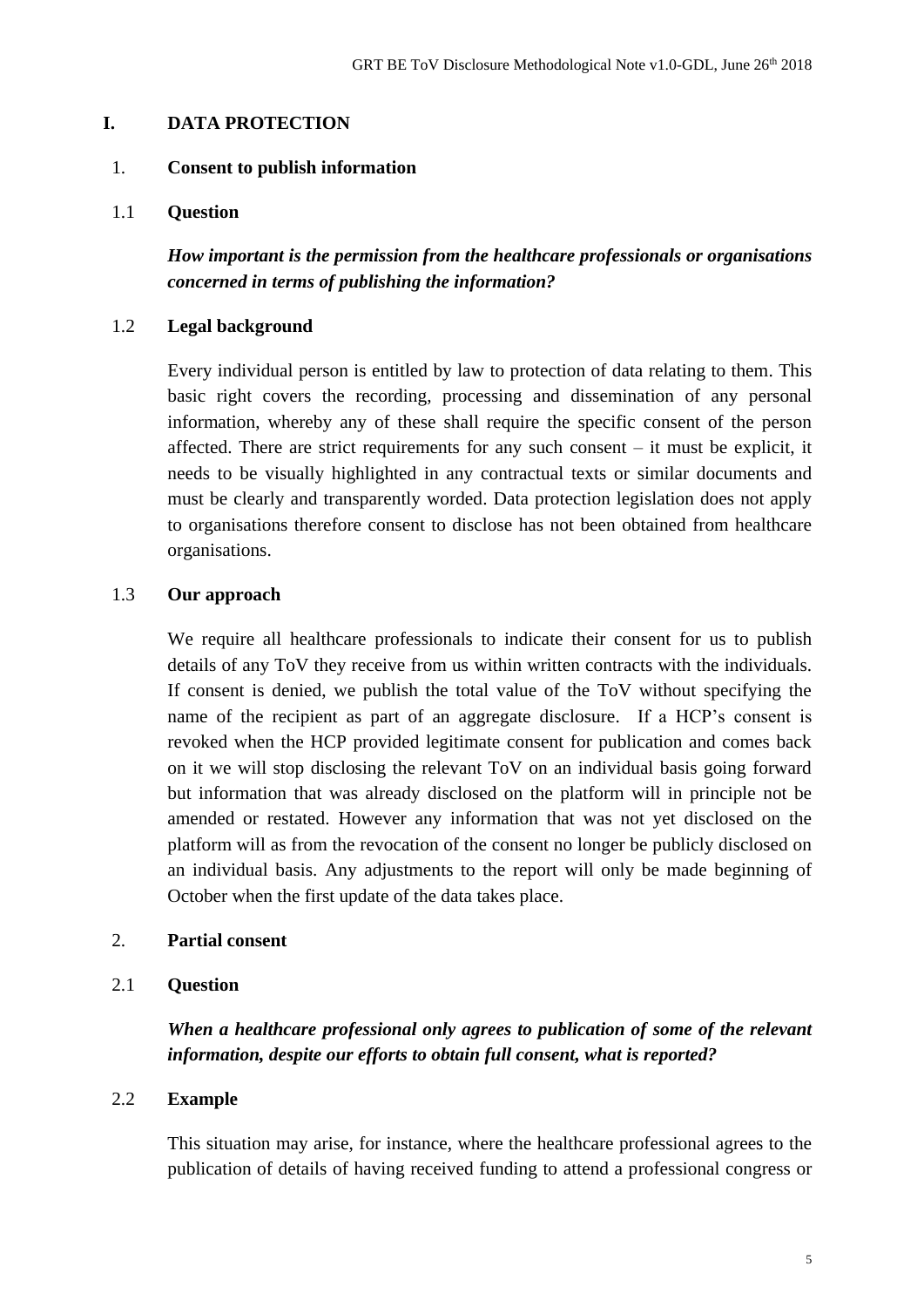### <span id="page-4-0"></span>**I. DATA PROTECTION**

#### <span id="page-4-1"></span>1. **Consent to publish information**

#### 1.1 **Question**

*How important is the permission from the healthcare professionals or organisations concerned in terms of publishing the information?*

### 1.2 **Legal background**

Every individual person is entitled by law to protection of data relating to them. This basic right covers the recording, processing and dissemination of any personal information, whereby any of these shall require the specific consent of the person affected. There are strict requirements for any such consent – it must be explicit, it needs to be visually highlighted in any contractual texts or similar documents and must be clearly and transparently worded. Data protection legislation does not apply to organisations therefore consent to disclose has not been obtained from healthcare organisations.

#### 1.3 **Our approach**

We require all healthcare professionals to indicate their consent for us to publish details of any ToV they receive from us within written contracts with the individuals. If consent is denied, we publish the total value of the ToV without specifying the name of the recipient as part of an aggregate disclosure. If a HCP's consent is revoked when the HCP provided legitimate consent for publication and comes back on it we will stop disclosing the relevant ToV on an individual basis going forward but information that was already disclosed on the platform will in principle not be amended or restated. However any information that was not yet disclosed on the platform will as from the revocation of the consent no longer be publicly disclosed on an individual basis. Any adjustments to the report will only be made beginning of October when the first update of the data takes place.

#### <span id="page-4-2"></span>2. **Partial consent**

#### 2.1 **Question**

*When a healthcare professional only agrees to publication of some of the relevant information, despite our efforts to obtain full consent, what is reported?*

## 2.2 **Example**

This situation may arise, for instance, where the healthcare professional agrees to the publication of details of having received funding to attend a professional congress or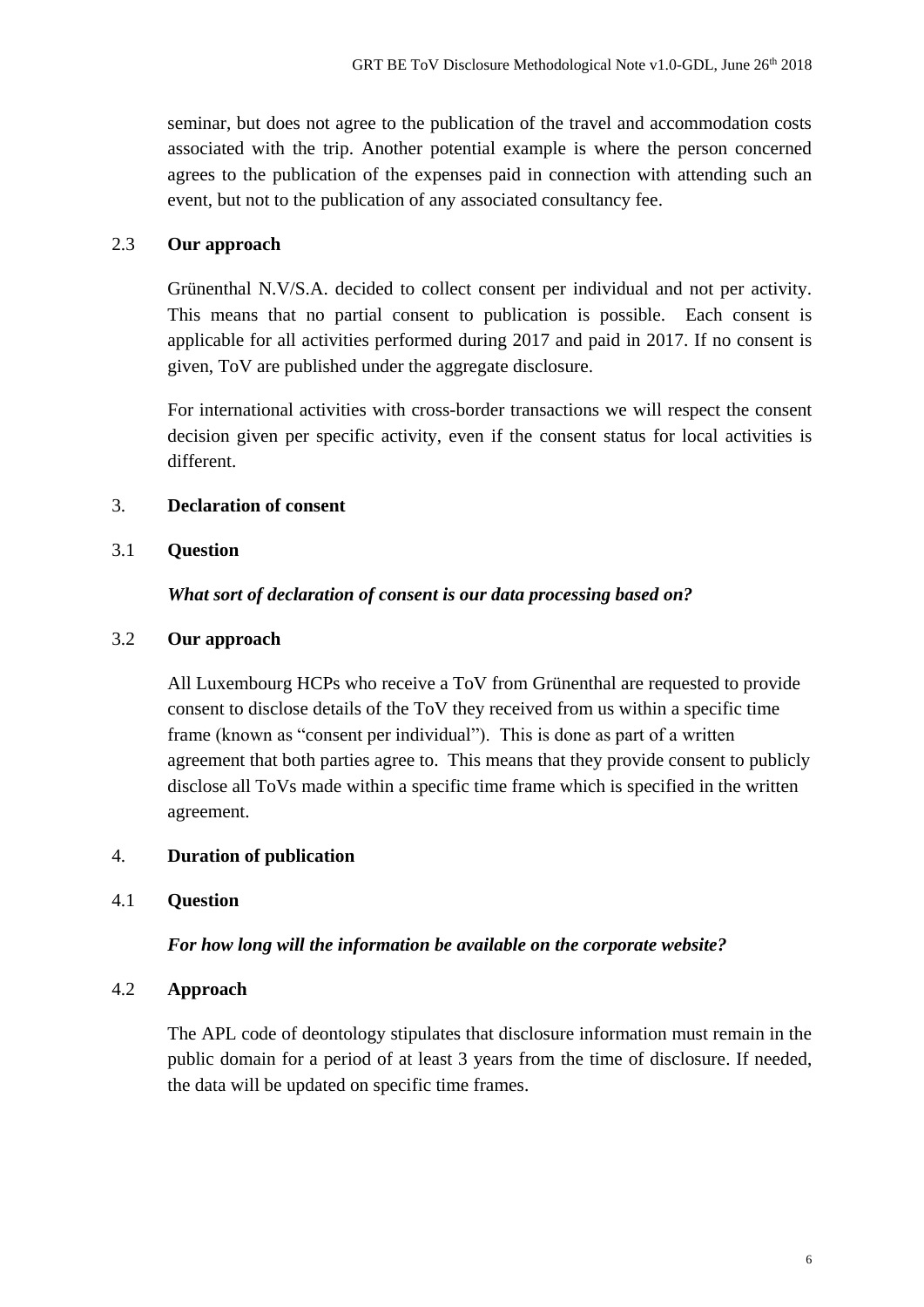seminar, but does not agree to the publication of the travel and accommodation costs associated with the trip. Another potential example is where the person concerned agrees to the publication of the expenses paid in connection with attending such an event, but not to the publication of any associated consultancy fee.

## 2.3 **Our approach**

Grünenthal N.V/S.A. decided to collect consent per individual and not per activity. This means that no partial consent to publication is possible. Each consent is applicable for all activities performed during 2017 and paid in 2017. If no consent is given, ToV are published under the aggregate disclosure.

For international activities with cross-border transactions we will respect the consent decision given per specific activity, even if the consent status for local activities is different.

## <span id="page-5-0"></span>3. **Declaration of consent**

## 3.1 **Question**

## *What sort of declaration of consent is our data processing based on?*

## 3.2 **Our approach**

All Luxembourg HCPs who receive a ToV from Grünenthal are requested to provide consent to disclose details of the ToV they received from us within a specific time frame (known as "consent per individual"). This is done as part of a written agreement that both parties agree to. This means that they provide consent to publicly disclose all ToVs made within a specific time frame which is specified in the written agreement.

## <span id="page-5-1"></span>4. **Duration of publication**

## 4.1 **Question**

## *For how long will the information be available on the corporate website?*

## 4.2 **Approach**

The APL code of deontology stipulates that disclosure information must remain in the public domain for a period of at least 3 years from the time of disclosure. If needed, the data will be updated on specific time frames.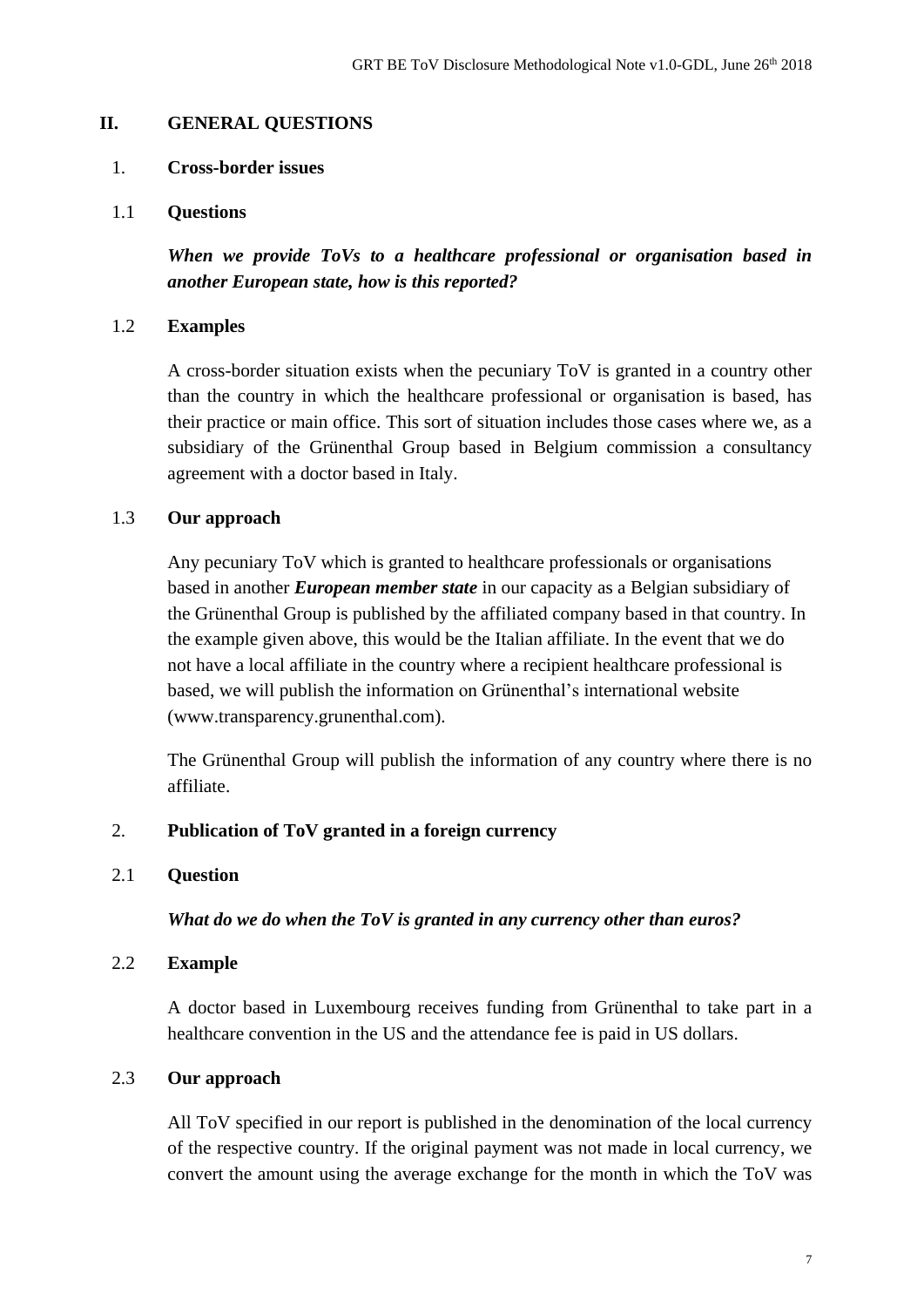#### <span id="page-6-0"></span>**II. GENERAL QUESTIONS**

#### <span id="page-6-1"></span>1. **Cross-border issues**

1.1 **Questions**

*When we provide ToVs to a healthcare professional or organisation based in another European state, how is this reported?*

### 1.2 **Examples**

A cross-border situation exists when the pecuniary ToV is granted in a country other than the country in which the healthcare professional or organisation is based, has their practice or main office. This sort of situation includes those cases where we, as a subsidiary of the Grünenthal Group based in Belgium commission a consultancy agreement with a doctor based in Italy.

## 1.3 **Our approach**

Any pecuniary ToV which is granted to healthcare professionals or organisations based in another *European member state* in our capacity as a Belgian subsidiary of the Grünenthal Group is published by the affiliated company based in that country. In the example given above, this would be the Italian affiliate. In the event that we do not have a local affiliate in the country where a recipient healthcare professional is based, we will publish the information on Grünenthal's international website (www.transparency.grunenthal.com).

The Grünenthal Group will publish the information of any country where there is no affiliate.

## <span id="page-6-2"></span>2. **Publication of ToV granted in a foreign currency**

#### 2.1 **Question**

*What do we do when the ToV is granted in any currency other than euros?*

#### 2.2 **Example**

A doctor based in Luxembourg receives funding from Grünenthal to take part in a healthcare convention in the US and the attendance fee is paid in US dollars.

## 2.3 **Our approach**

All ToV specified in our report is published in the denomination of the local currency of the respective country. If the original payment was not made in local currency, we convert the amount using the average exchange for the month in which the ToV was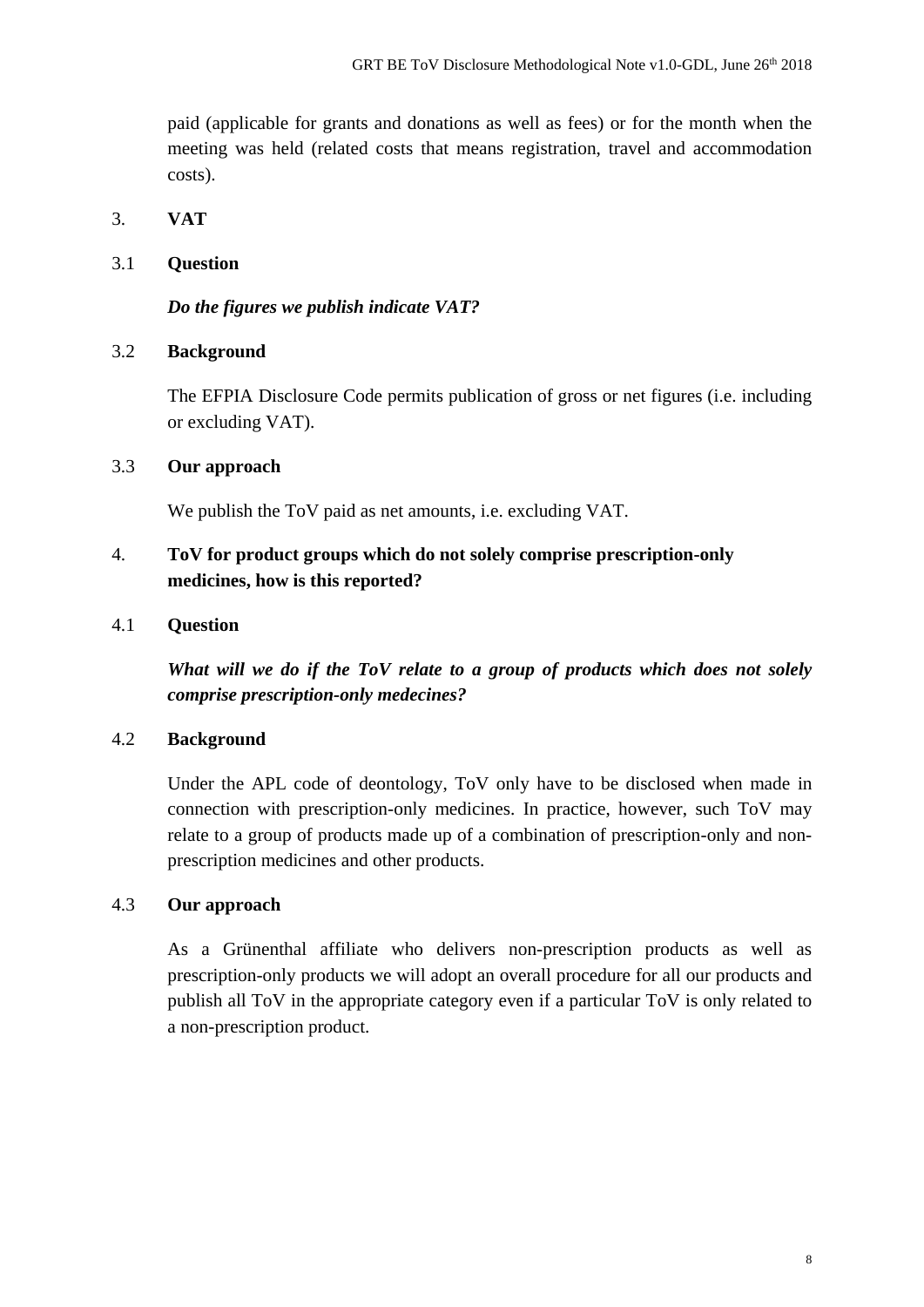paid (applicable for grants and donations as well as fees) or for the month when the meeting was held (related costs that means registration, travel and accommodation costs).

## <span id="page-7-0"></span>3. **VAT**

## 3.1 **Question**

## *Do the figures we publish indicate VAT?*

## 3.2 **Background**

The EFPIA Disclosure Code permits publication of gross or net figures (i.e. including or excluding VAT).

## 3.3 **Our approach**

We publish the ToV paid as net amounts, i.e. excluding VAT.

## <span id="page-7-1"></span>4. **ToV for product groups which do not solely comprise prescription-only medicines, how is this reported?**

## 4.1 **Question**

*What will we do if the ToV relate to a group of products which does not solely comprise prescription-only medecines?*

## 4.2 **Background**

Under the APL code of deontology, ToV only have to be disclosed when made in connection with prescription-only medicines. In practice, however, such ToV may relate to a group of products made up of a combination of prescription-only and nonprescription medicines and other products.

## 4.3 **Our approach**

As a Grünenthal affiliate who delivers non-prescription products as well as prescription-only products we will adopt an overall procedure for all our products and publish all ToV in the appropriate category even if a particular ToV is only related to a non-prescription product.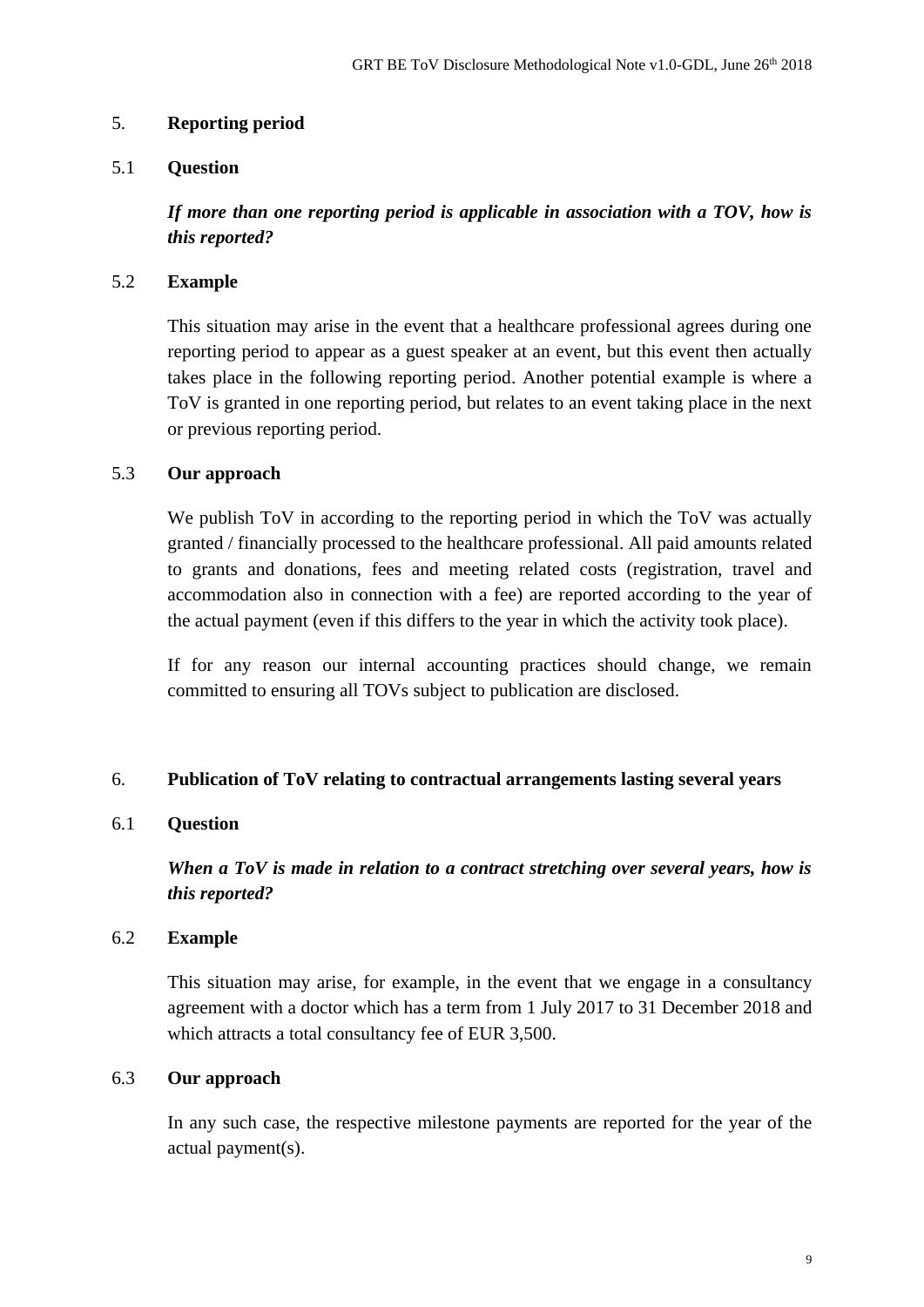## <span id="page-8-0"></span>5. **Reporting period**

## 5.1 **Question**

*If more than one reporting period is applicable in association with a TOV, how is this reported?*

## 5.2 **Example**

This situation may arise in the event that a healthcare professional agrees during one reporting period to appear as a guest speaker at an event, but this event then actually takes place in the following reporting period. Another potential example is where a ToV is granted in one reporting period, but relates to an event taking place in the next or previous reporting period.

#### 5.3 **Our approach**

We publish ToV in according to the reporting period in which the ToV was actually granted / financially processed to the healthcare professional. All paid amounts related to grants and donations, fees and meeting related costs (registration, travel and accommodation also in connection with a fee) are reported according to the year of the actual payment (even if this differs to the year in which the activity took place).

If for any reason our internal accounting practices should change, we remain committed to ensuring all TOVs subject to publication are disclosed.

## <span id="page-8-1"></span>6. **Publication of ToV relating to contractual arrangements lasting several years**

## 6.1 **Question**

*When a ToV is made in relation to a contract stretching over several years, how is this reported?*

#### 6.2 **Example**

This situation may arise, for example, in the event that we engage in a consultancy agreement with a doctor which has a term from 1 July 2017 to 31 December 2018 and which attracts a total consultancy fee of EUR 3,500.

## 6.3 **Our approach**

In any such case, the respective milestone payments are reported for the year of the actual payment(s).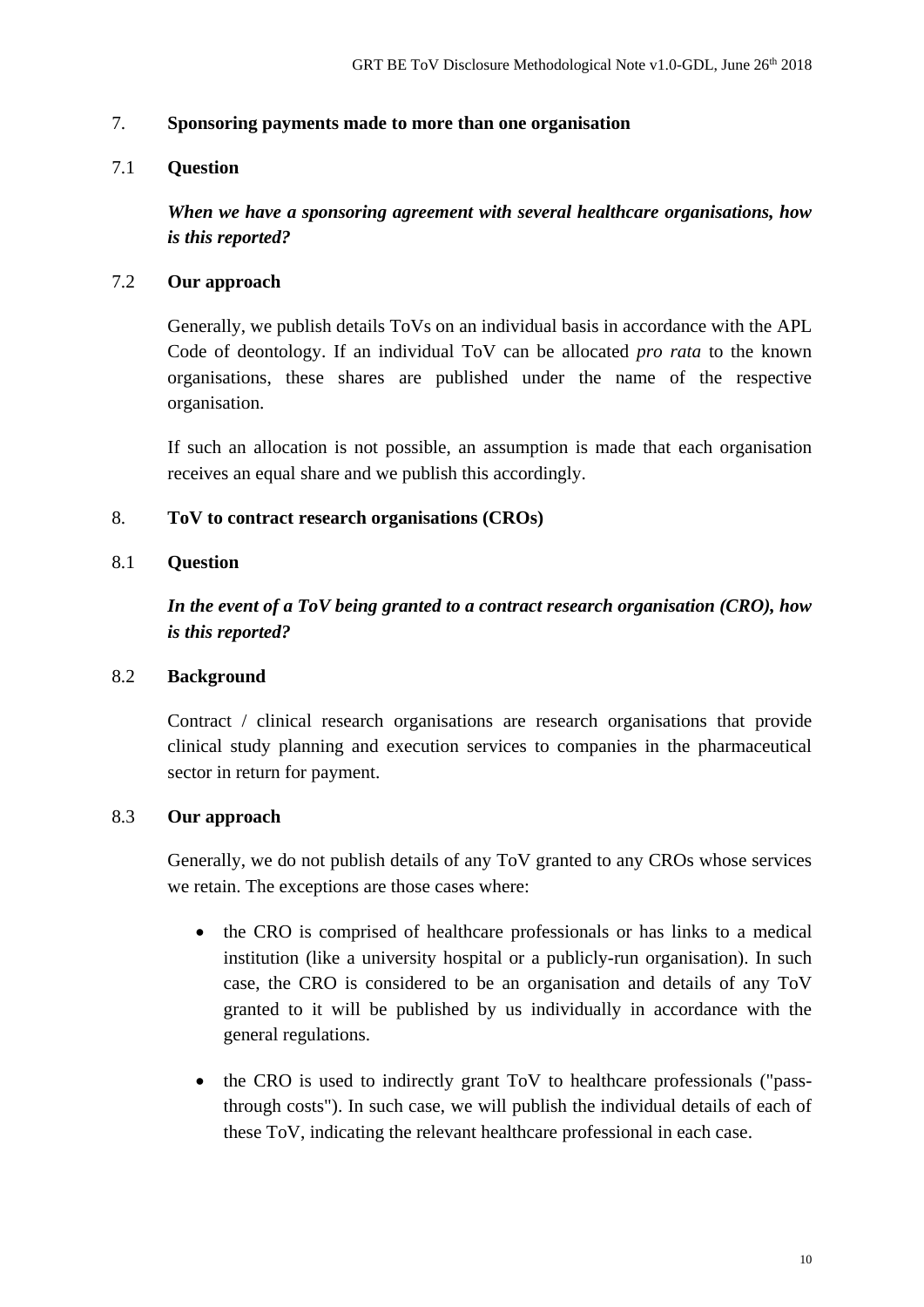### <span id="page-9-0"></span>7. **Sponsoring payments made to more than one organisation**

## 7.1 **Question**

*When we have a sponsoring agreement with several healthcare organisations, how is this reported?*

## 7.2 **Our approach**

Generally, we publish details ToVs on an individual basis in accordance with the APL Code of deontology. If an individual ToV can be allocated *pro rata* to the known organisations, these shares are published under the name of the respective organisation.

If such an allocation is not possible, an assumption is made that each organisation receives an equal share and we publish this accordingly.

## <span id="page-9-1"></span>8. **ToV to contract research organisations (CROs)**

## 8.1 **Question**

*In the event of a ToV being granted to a contract research organisation (CRO), how is this reported?*

## 8.2 **Background**

Contract / clinical research organisations are research organisations that provide clinical study planning and execution services to companies in the pharmaceutical sector in return for payment.

## 8.3 **Our approach**

Generally, we do not publish details of any ToV granted to any CROs whose services we retain. The exceptions are those cases where:

- the CRO is comprised of healthcare professionals or has links to a medical institution (like a university hospital or a publicly-run organisation). In such case, the CRO is considered to be an organisation and details of any ToV granted to it will be published by us individually in accordance with the general regulations.
- the CRO is used to indirectly grant ToV to healthcare professionals ("passthrough costs"). In such case, we will publish the individual details of each of these ToV, indicating the relevant healthcare professional in each case.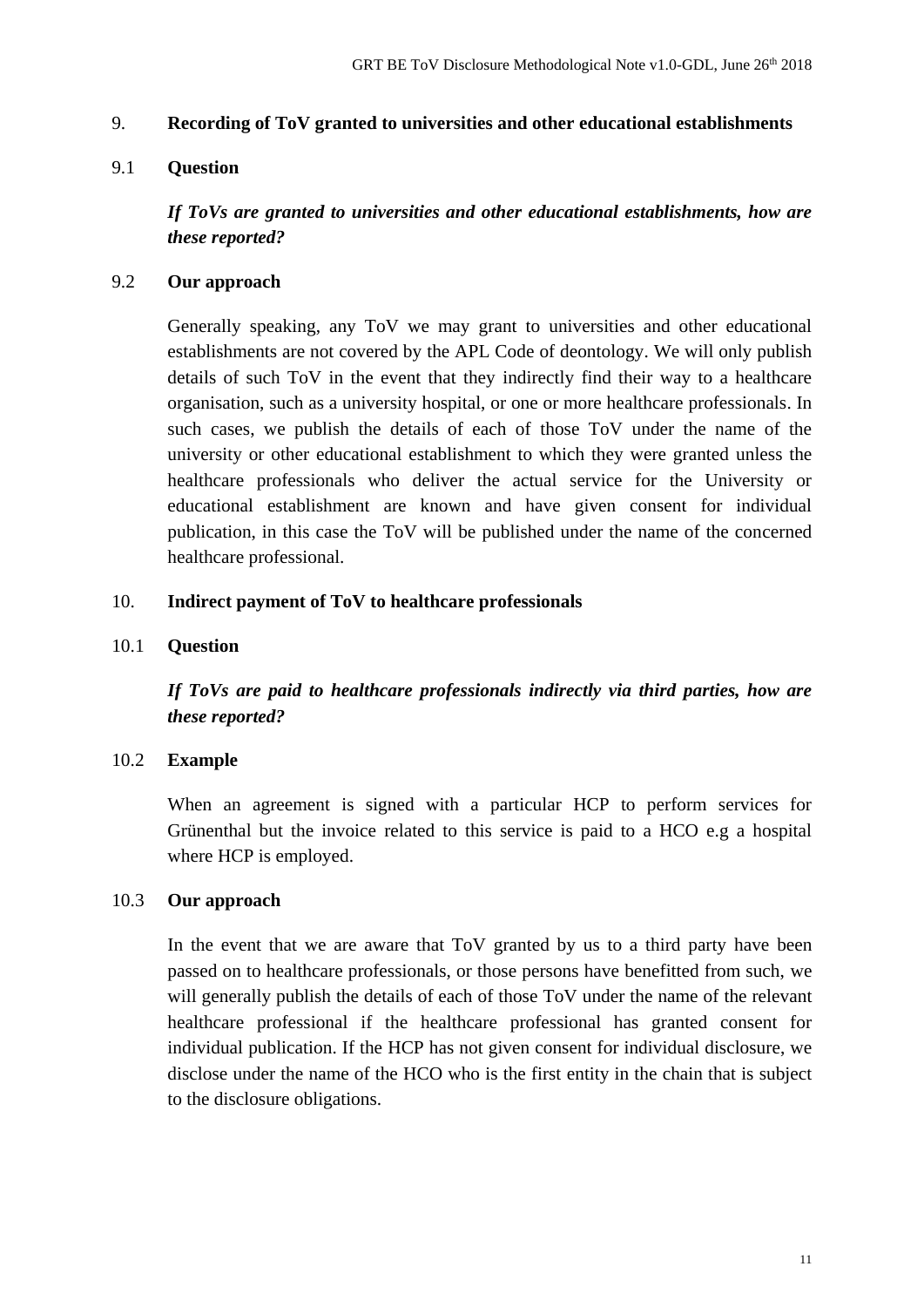#### <span id="page-10-0"></span>9. **Recording of ToV granted to universities and other educational establishments**

## 9.1 **Question**

*If ToVs are granted to universities and other educational establishments, how are these reported?*

## 9.2 **Our approach**

Generally speaking, any ToV we may grant to universities and other educational establishments are not covered by the APL Code of deontology. We will only publish details of such ToV in the event that they indirectly find their way to a healthcare organisation, such as a university hospital, or one or more healthcare professionals. In such cases, we publish the details of each of those ToV under the name of the university or other educational establishment to which they were granted unless the healthcare professionals who deliver the actual service for the University or educational establishment are known and have given consent for individual publication, in this case the ToV will be published under the name of the concerned healthcare professional.

## <span id="page-10-1"></span>10. **Indirect payment of ToV to healthcare professionals**

### 10.1 **Question**

*If ToVs are paid to healthcare professionals indirectly via third parties, how are these reported?*

## 10.2 **Example**

When an agreement is signed with a particular HCP to perform services for Grünenthal but the invoice related to this service is paid to a HCO e.g a hospital where HCP is employed.

## 10.3 **Our approach**

In the event that we are aware that ToV granted by us to a third party have been passed on to healthcare professionals, or those persons have benefitted from such, we will generally publish the details of each of those ToV under the name of the relevant healthcare professional if the healthcare professional has granted consent for individual publication. If the HCP has not given consent for individual disclosure, we disclose under the name of the HCO who is the first entity in the chain that is subject to the disclosure obligations.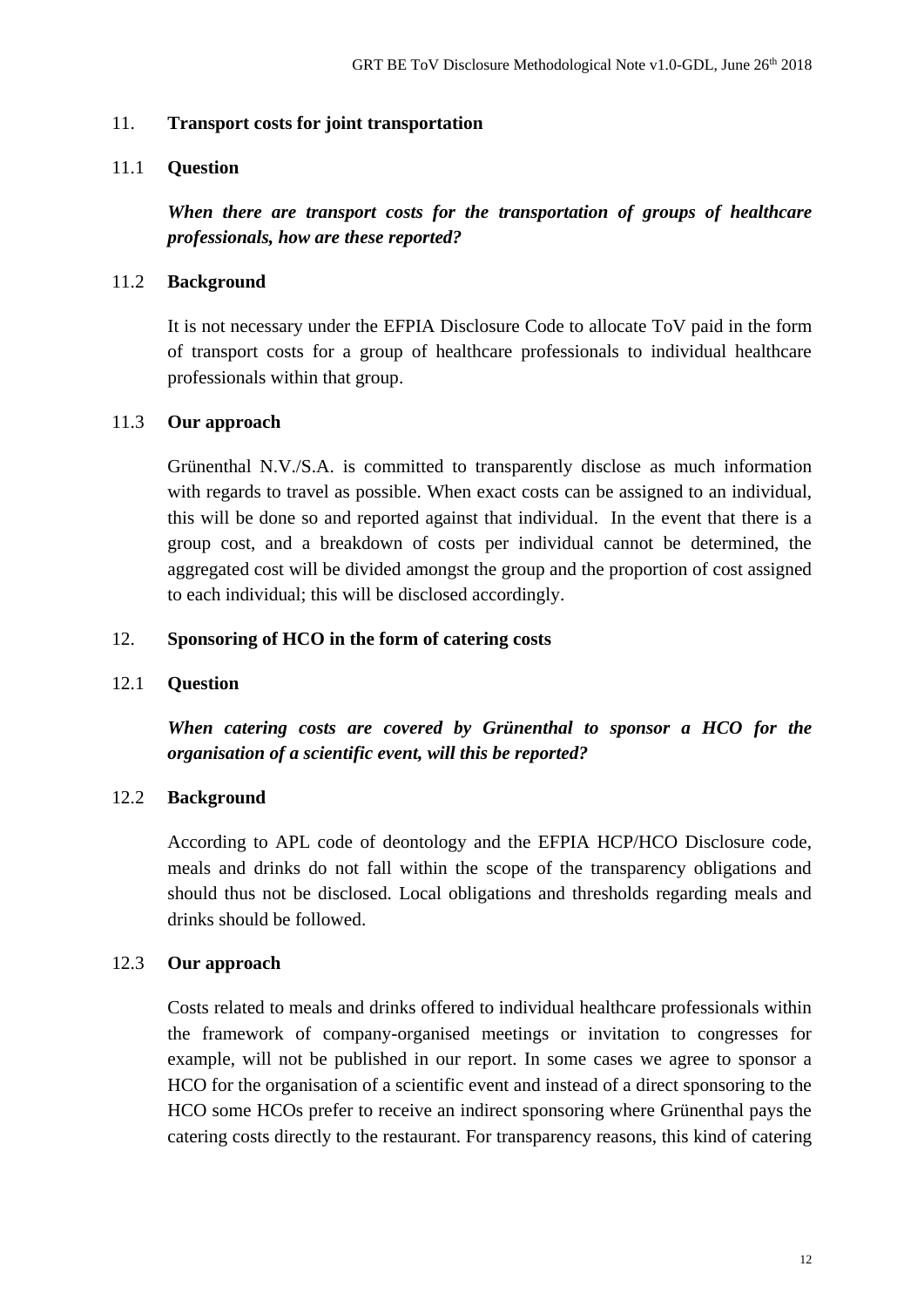#### <span id="page-11-0"></span>11. **Transport costs for joint transportation**

## 11.1 **Question**

*When there are transport costs for the transportation of groups of healthcare professionals, how are these reported?*

### 11.2 **Background**

It is not necessary under the EFPIA Disclosure Code to allocate ToV paid in the form of transport costs for a group of healthcare professionals to individual healthcare professionals within that group.

#### 11.3 **Our approach**

Grünenthal N.V./S.A. is committed to transparently disclose as much information with regards to travel as possible. When exact costs can be assigned to an individual, this will be done so and reported against that individual. In the event that there is a group cost, and a breakdown of costs per individual cannot be determined, the aggregated cost will be divided amongst the group and the proportion of cost assigned to each individual; this will be disclosed accordingly.

#### <span id="page-11-1"></span>12. **Sponsoring of HCO in the form of catering costs**

#### 12.1 **Question**

*When catering costs are covered by Grünenthal to sponsor a HCO for the organisation of a scientific event, will this be reported?*

## 12.2 **Background**

According to APL code of deontology and the EFPIA HCP/HCO Disclosure code, meals and drinks do not fall within the scope of the transparency obligations and should thus not be disclosed. Local obligations and thresholds regarding meals and drinks should be followed.

## 12.3 **Our approach**

Costs related to meals and drinks offered to individual healthcare professionals within the framework of company-organised meetings or invitation to congresses for example, will not be published in our report. In some cases we agree to sponsor a HCO for the organisation of a scientific event and instead of a direct sponsoring to the HCO some HCOs prefer to receive an indirect sponsoring where Grünenthal pays the catering costs directly to the restaurant. For transparency reasons, this kind of catering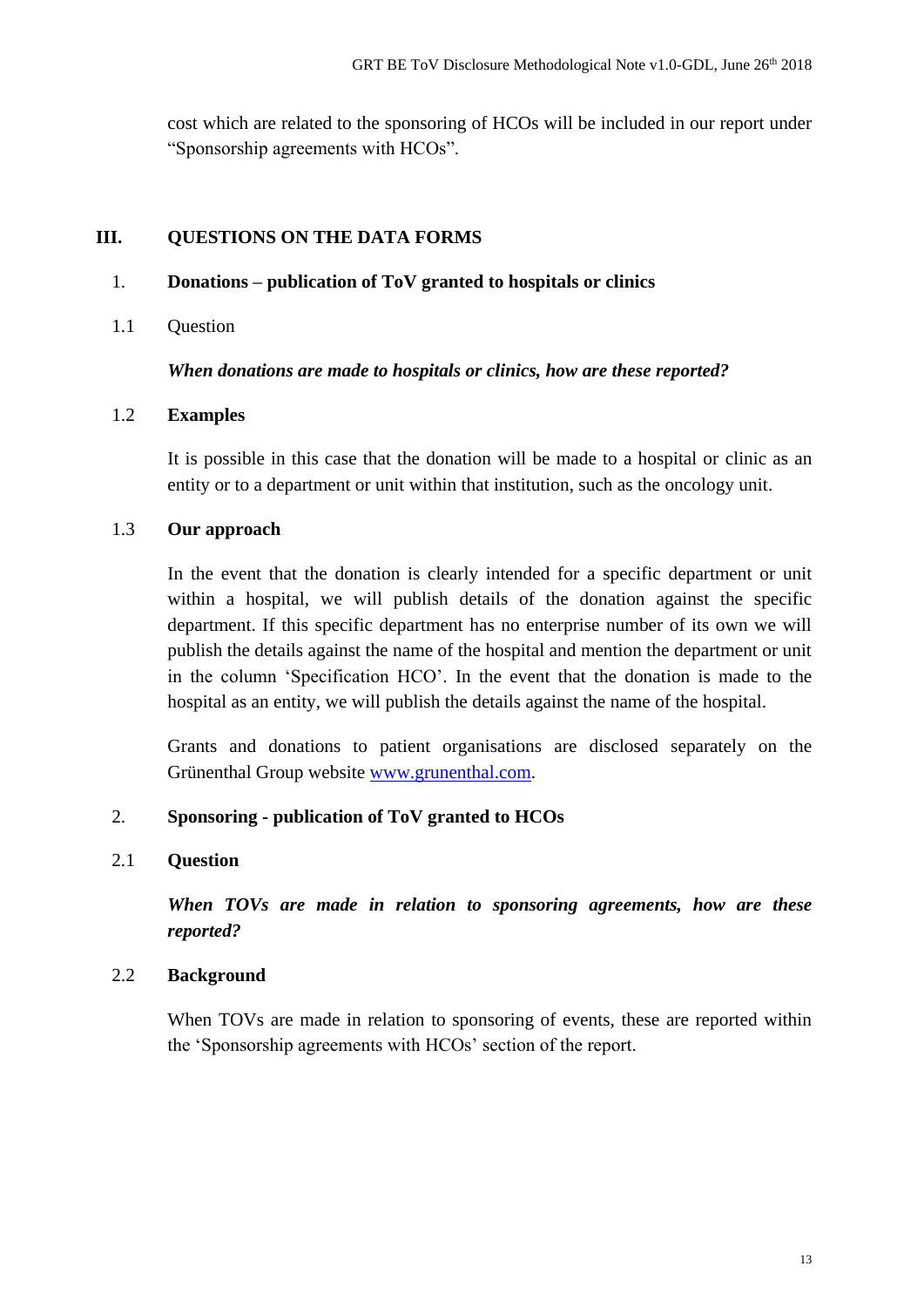cost which are related to the sponsoring of HCOs will be included in our report under "Sponsorship agreements with HCOs".

## <span id="page-12-0"></span>**III. QUESTIONS ON THE DATA FORMS**

## <span id="page-12-1"></span>1. **Donations – publication of ToV granted to hospitals or clinics**

1.1 Question

*When donations are made to hospitals or clinics, how are these reported?*

## 1.2 **Examples**

It is possible in this case that the donation will be made to a hospital or clinic as an entity or to a department or unit within that institution, such as the oncology unit.

## 1.3 **Our approach**

In the event that the donation is clearly intended for a specific department or unit within a hospital, we will publish details of the donation against the specific department. If this specific department has no enterprise number of its own we will publish the details against the name of the hospital and mention the department or unit in the column 'Specification HCO'. In the event that the donation is made to the hospital as an entity, we will publish the details against the name of the hospital.

Grants and donations to patient organisations are disclosed separately on the Grünenthal Group website [www.grunenthal.com.](http://www.grunenthal.com/)

## <span id="page-12-2"></span>2. **Sponsoring - publication of ToV granted to HCOs**

## 2.1 **Question**

*When TOVs are made in relation to sponsoring agreements, how are these reported?*

## 2.2 **Background**

When TOVs are made in relation to sponsoring of events, these are reported within the 'Sponsorship agreements with HCOs' section of the report.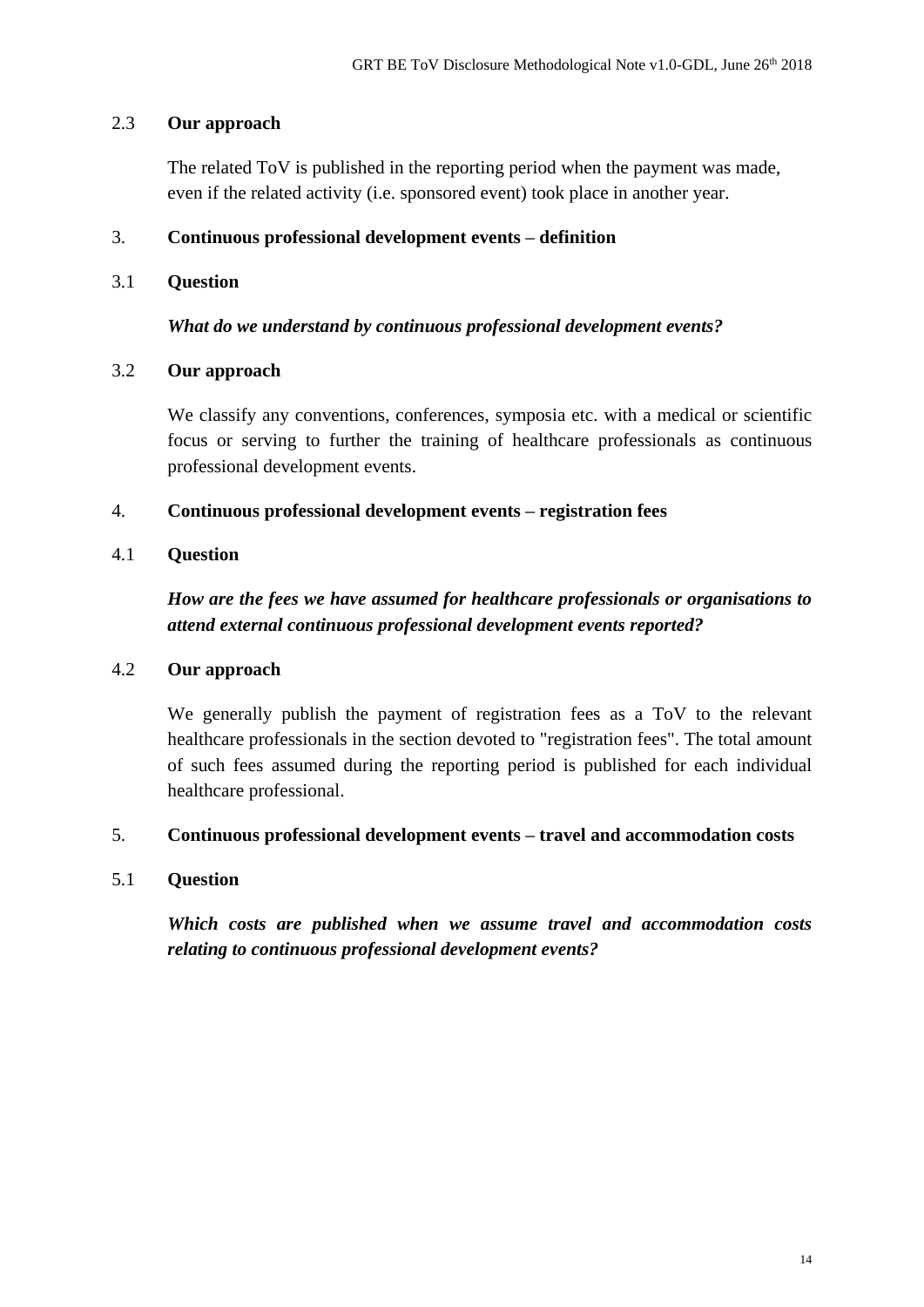## 2.3 **Our approach**

The related ToV is published in the reporting period when the payment was made, even if the related activity (i.e. sponsored event) took place in another year.

## <span id="page-13-0"></span>3. **Continuous professional development events – definition**

## 3.1 **Question**

*What do we understand by continuous professional development events?*

## 3.2 **Our approach**

We classify any conventions, conferences, symposia etc. with a medical or scientific focus or serving to further the training of healthcare professionals as continuous professional development events.

## <span id="page-13-1"></span>4. **Continuous professional development events – registration fees**

## 4.1 **Question**

*How are the fees we have assumed for healthcare professionals or organisations to attend external continuous professional development events reported?*

## 4.2 **Our approach**

We generally publish the payment of registration fees as a ToV to the relevant healthcare professionals in the section devoted to "registration fees". The total amount of such fees assumed during the reporting period is published for each individual healthcare professional.

## <span id="page-13-2"></span>5. **Continuous professional development events – travel and accommodation costs**

## 5.1 **Question**

*Which costs are published when we assume travel and accommodation costs relating to continuous professional development events?*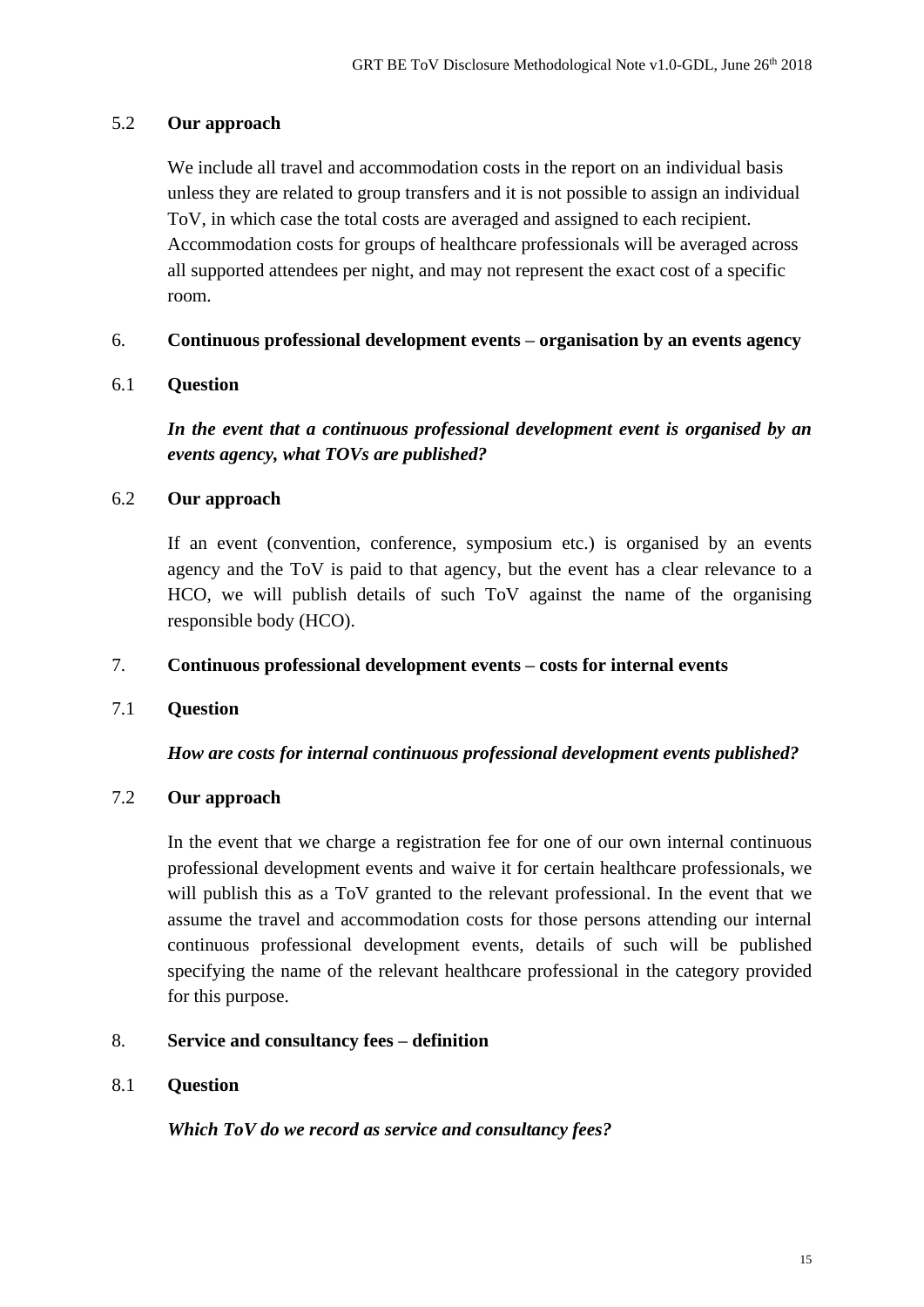## 5.2 **Our approach**

We include all travel and accommodation costs in the report on an individual basis unless they are related to group transfers and it is not possible to assign an individual ToV, in which case the total costs are averaged and assigned to each recipient. Accommodation costs for groups of healthcare professionals will be averaged across all supported attendees per night, and may not represent the exact cost of a specific room.

#### <span id="page-14-0"></span>6. **Continuous professional development events – organisation by an events agency**

## 6.1 **Question**

*In the event that a continuous professional development event is organised by an events agency, what TOVs are published?*

#### 6.2 **Our approach**

If an event (convention, conference, symposium etc.) is organised by an events agency and the ToV is paid to that agency, but the event has a clear relevance to a HCO, we will publish details of such ToV against the name of the organising responsible body (HCO).

#### <span id="page-14-1"></span>7. **Continuous professional development events – costs for internal events**

## 7.1 **Question**

## *How are costs for internal continuous professional development events published?*

## 7.2 **Our approach**

In the event that we charge a registration fee for one of our own internal continuous professional development events and waive it for certain healthcare professionals, we will publish this as a ToV granted to the relevant professional. In the event that we assume the travel and accommodation costs for those persons attending our internal continuous professional development events, details of such will be published specifying the name of the relevant healthcare professional in the category provided for this purpose.

## <span id="page-14-2"></span>8. **Service and consultancy fees – definition**

#### 8.1 **Question**

*Which ToV do we record as service and consultancy fees?*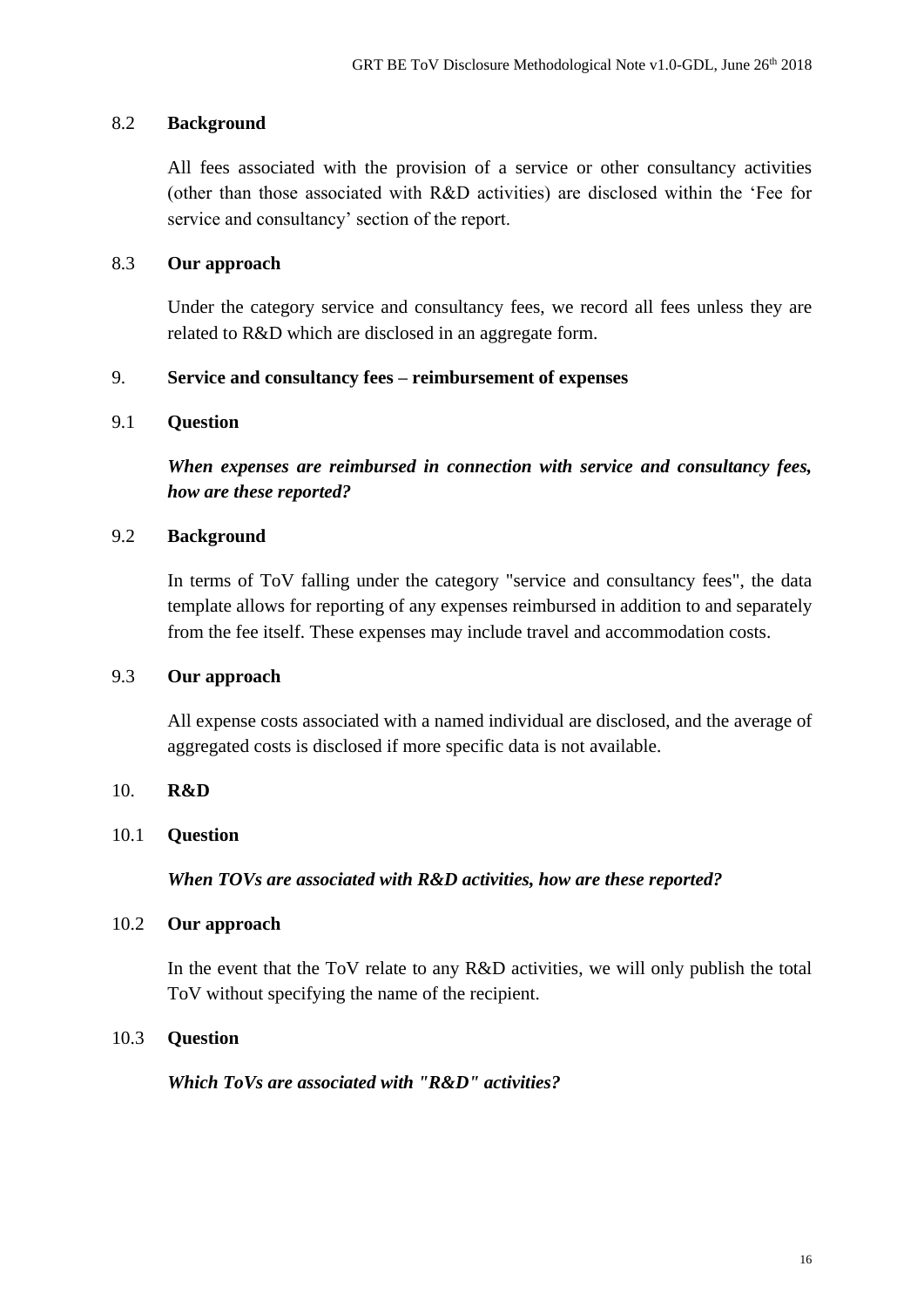## 8.2 **Background**

All fees associated with the provision of a service or other consultancy activities (other than those associated with R&D activities) are disclosed within the 'Fee for service and consultancy' section of the report.

## 8.3 **Our approach**

Under the category service and consultancy fees, we record all fees unless they are related to R&D which are disclosed in an aggregate form.

## <span id="page-15-0"></span>9. **Service and consultancy fees – reimbursement of expenses**

## <span id="page-15-1"></span>9.1 **Question**

*When expenses are reimbursed in connection with service and consultancy fees, how are these reported?*

## 9.2 **Background**

In terms of ToV falling under the category "service and consultancy fees", the data template allows for reporting of any expenses reimbursed in addition to and separately from the fee itself. These expenses may include travel and accommodation costs.

## 9.3 **Our approach**

All expense costs associated with a named individual are disclosed, and the average of aggregated costs is disclosed if more specific data is not available.

## <span id="page-15-2"></span>10. **R&D**

## 10.1 **Question**

*When TOVs are associated with R&D activities, how are these reported?* 

## 10.2 **Our approach**

In the event that the ToV relate to any R&D activities, we will only publish the total ToV without specifying the name of the recipient.

## 10.3 **Question**

*Which ToVs are associated with "R&D" activities?*